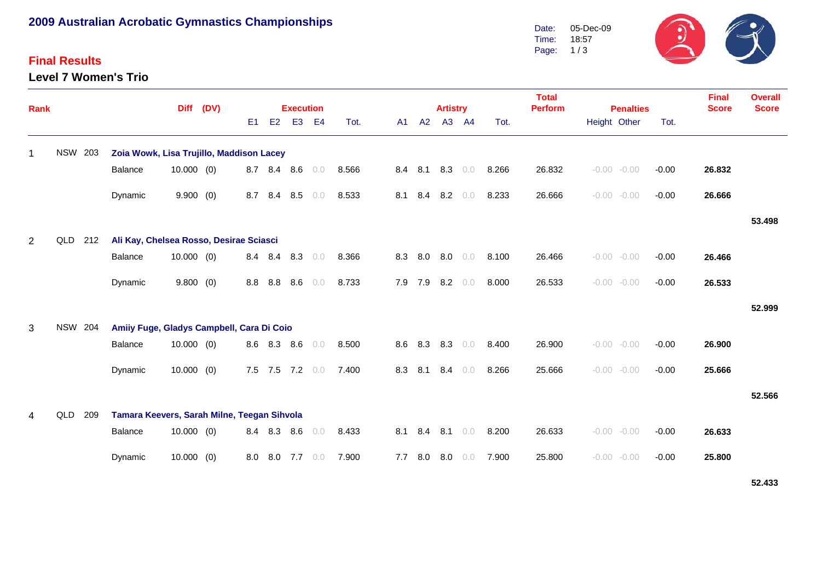# **2009 Australian Acrobatic Gymnastics Championships**

### **Final Results**

**Level 7 Women's Trio**



| <b>Rank</b>    |                |     |                                             | <b>Diff</b>  | (DV) |                |             | <b>Execution</b> |                |       |     |         | <b>Artistry</b> |                 |       | <b>Total</b><br><b>Perform</b> |              | <b>Penalties</b> | <b>Final</b><br><b>Score</b> | <b>Overall</b><br><b>Score</b> |        |
|----------------|----------------|-----|---------------------------------------------|--------------|------|----------------|-------------|------------------|----------------|-------|-----|---------|-----------------|-----------------|-------|--------------------------------|--------------|------------------|------------------------------|--------------------------------|--------|
|                |                |     |                                             |              |      | E <sub>1</sub> | E2          | E <sub>3</sub>   | E <sub>4</sub> | Tot.  | A1  | A2      |                 | A3 A4           | Tot.  |                                | Height Other |                  | Tot.                         |                                |        |
| 1              | <b>NSW 203</b> |     | Zoia Wowk, Lisa Trujillo, Maddison Lacey    |              |      |                |             |                  |                |       |     |         |                 |                 |       |                                |              |                  |                              |                                |        |
|                |                |     | Balance                                     | $10.000$ (0) |      | 8.7            | 8.4         | 8.6              | 0.0            | 8.566 |     | 8.4 8.1 |                 | $8.3\quad 0.0$  | 8.266 | 26.832                         |              | $-0.00 - 0.00$   | $-0.00$                      | 26.832                         |        |
|                |                |     | Dynamic                                     | 9.900(0)     |      | 8.7            | 8.4         | 8.5              | 0.0            | 8.533 | 8.1 | 8.4     | 8.2             | 0.0             | 8.233 | 26.666                         |              | $-0.00 - 0.00$   | $-0.00$                      | 26.666                         |        |
|                |                |     |                                             |              |      |                |             |                  |                |       |     |         |                 |                 |       |                                |              |                  |                              |                                | 53.498 |
| $\overline{2}$ | QLD            | 212 | Ali Kay, Chelsea Rosso, Desirae Sciasci     |              |      |                |             |                  |                |       |     |         |                 |                 |       |                                |              |                  |                              |                                |        |
|                |                |     | Balance                                     | 10.000(0)    |      | 8.4            | 8.4         | 8.3              | 0.0            | 8.366 | 8.3 | 8.0     | 8.0             | 0.0             | 8.100 | 26.466                         |              | $-0.00 - 0.00$   | $-0.00$                      | 26.466                         |        |
|                |                |     | Dynamic                                     | 9.800(0)     |      | 8.8            | 8.8         | 8.6              | 0.0            | 8.733 |     | 7.9 7.9 | 8.2             | $0.0$           | 8.000 | 26.533                         |              | $-0.00 - 0.00$   | $-0.00$                      | 26.533                         |        |
|                |                |     |                                             |              |      |                |             |                  |                |       |     |         |                 |                 |       |                                |              |                  |                              |                                | 52.999 |
| 3              | <b>NSW 204</b> |     | Amiiy Fuge, Gladys Campbell, Cara Di Coio   |              |      |                |             |                  |                |       |     |         |                 |                 |       |                                |              |                  |                              |                                |        |
|                |                |     | <b>Balance</b>                              | $10.000$ (0) |      |                | 8.6 8.3     | 8.6              | 0.0            | 8.500 |     | 8.6 8.3 | 8.3             | 0.0             | 8.400 | 26.900                         |              | $-0.00 - 0.00$   | $-0.00$                      | 26.900                         |        |
|                |                |     | Dynamic                                     | $10.000$ (0) |      |                |             | 7.5 7.5 7.2 0.0  |                | 7.400 |     | 8.3 8.1 | 8.4             | 0.0             | 8.266 | 25.666                         |              | $-0.00 - 0.00$   | $-0.00$                      | 25.666                         |        |
|                |                |     |                                             |              |      |                |             |                  |                |       |     |         |                 |                 |       |                                |              |                  |                              |                                | 52.566 |
| $\overline{4}$ | QLD            | 209 | Tamara Keevers, Sarah Milne, Teegan Sihvola |              |      |                |             |                  |                |       |     |         |                 |                 |       |                                |              |                  |                              |                                |        |
|                |                |     | Balance                                     | $10.000$ (0) |      |                | 8.4 8.3 8.6 |                  | 0.0            | 8.433 |     |         |                 | 8.1 8.4 8.1 0.0 | 8.200 | 26.633                         |              | $-0.00 - 0.00$   | $-0.00$                      | 26.633                         |        |
|                |                |     | Dynamic                                     | $10.000$ (0) |      | 8.0            |             | 8.0 7.7          | 0.0            | 7.900 | 7.7 | 8.0     | 8.0             | 0.0             | 7.900 | 25.800                         | $-0.00$      | $-0.00$          | $-0.00$                      | 25.800                         |        |

**52.433**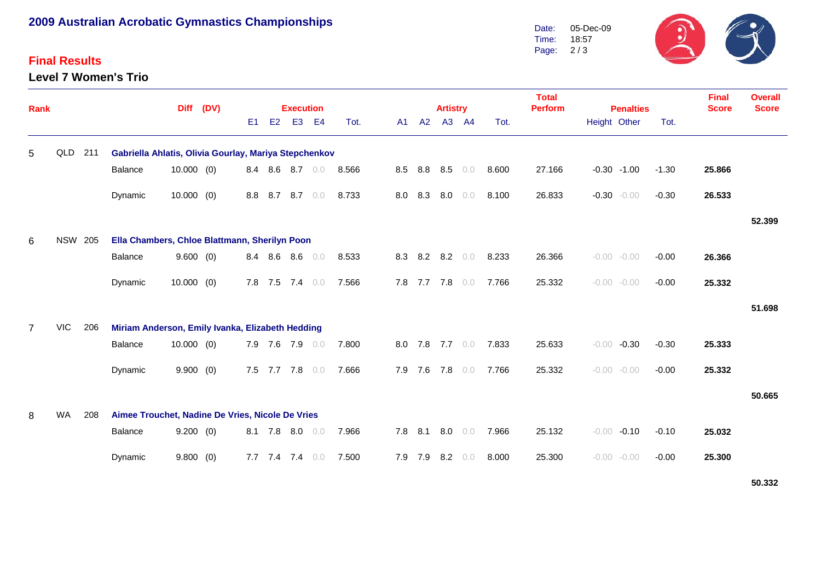# **2009 Australian Acrobatic Gymnastics Championships**

### **Final Results**

**Level 7 Women's Trio**



| Rank           |                |     |                                                       | <b>Diff</b>  | (DV) |                |         | <b>Execution</b>  |                |       |    |         |    | <b>Artistry</b> |                 |       | <b>Total</b><br><b>Perform</b> | <b>Penalties</b>   |         | <b>Final</b><br><b>Score</b> | <b>Overall</b><br><b>Score</b> |
|----------------|----------------|-----|-------------------------------------------------------|--------------|------|----------------|---------|-------------------|----------------|-------|----|---------|----|-----------------|-----------------|-------|--------------------------------|--------------------|---------|------------------------------|--------------------------------|
|                |                |     |                                                       |              |      | E <sub>1</sub> | E2      | E <sub>3</sub>    | E <sub>4</sub> | Tot.  | A1 |         | A2 |                 | A3 A4           | Tot.  |                                | Height Other       | Tot.    |                              |                                |
| 5              | QLD            | 211 | Gabriella Ahlatis, Olivia Gourlay, Mariya Stepchenkov |              |      |                |         |                   |                |       |    |         |    |                 |                 |       |                                |                    |         |                              |                                |
|                |                |     | Balance                                               | $10.000$ (0) |      |                | 8.4 8.6 | $8.7\quad 0.0$    |                | 8.566 |    | 8.5 8.8 |    | 8.5             | 0.0             | 8.600 | 27.166                         | $-0.30 - 1.00$     | $-1.30$ | 25.866                       |                                |
|                |                |     | Dynamic                                               | $10.000$ (0) |      | 8.8            | 8.7     | 8.7               | 0.0            | 8.733 |    | 8.0 8.3 |    | 8.0             | $0.0$           | 8.100 | 26.833                         | $-0.30 - 0.00$     | $-0.30$ | 26.533                       |                                |
|                |                |     |                                                       |              |      |                |         |                   |                |       |    |         |    |                 |                 |       |                                |                    |         |                              | 52.399                         |
| 6              | <b>NSW 205</b> |     | Ella Chambers, Chloe Blattmann, Sherilyn Poon         |              |      |                |         |                   |                |       |    |         |    |                 |                 |       |                                |                    |         |                              |                                |
|                |                |     | Balance                                               | 9.600(0)     |      |                |         | 8.4 8.6 8.6       | 0.0            | 8.533 |    |         |    | 8.3 8.2 8.2     | 0.0             | 8.233 | 26.366                         | $-0.00 - 0.00$     | $-0.00$ | 26.366                       |                                |
|                |                |     | Dynamic                                               | 10.000(0)    |      |                | 7.8 7.5 | 7.4               | 0.0            | 7.566 |    |         |    |                 | 7.8 7.7 7.8 0.0 | 7.766 | 25.332                         | $-0.00$<br>$-0.00$ | $-0.00$ | 25.332                       |                                |
|                |                |     |                                                       |              |      |                |         |                   |                |       |    |         |    |                 |                 |       |                                |                    |         |                              | 51.698                         |
| $\overline{7}$ | VIC            | 206 | Miriam Anderson, Emily Ivanka, Elizabeth Hedding      |              |      |                |         |                   |                |       |    |         |    |                 |                 |       |                                |                    |         |                              |                                |
|                |                |     | Balance                                               | $10.000$ (0) |      |                |         | 7.9 7.6 7.9       | 0.0            | 7.800 |    |         |    |                 | 8.0 7.8 7.7 0.0 | 7.833 | 25.633                         | $-0.00$<br>$-0.30$ | $-0.30$ | 25.333                       |                                |
|                |                |     | Dynamic                                               | 9.900(0)     |      |                |         | 7.5 7.7 7.8 0.0   |                | 7.666 |    |         |    |                 | 7.9 7.6 7.8 0.0 | 7.766 | 25.332                         | $-0.00 - 0.00$     | $-0.00$ | 25.332                       |                                |
|                |                |     |                                                       |              |      |                |         |                   |                |       |    |         |    |                 |                 |       |                                |                    |         |                              | 50.665                         |
| 8              | WA             | 208 | Aimee Trouchet, Nadine De Vries, Nicole De Vries      |              |      |                |         |                   |                |       |    |         |    |                 |                 |       |                                |                    |         |                              |                                |
|                |                |     | Balance                                               | 9.200(0)     |      |                |         | 8.1 7.8 8.0       | 0.0            | 7.966 |    |         |    |                 | 7.8 8.1 8.0 0.0 | 7.966 | 25.132                         | $-0.00$<br>$-0.10$ | $-0.10$ | 25.032                       |                                |
|                |                |     | Dynamic                                               | 9.800(0)     |      |                |         | $7.7$ $7.4$ $7.4$ | 0.0            | 7.500 |    |         |    | 7.9 7.9 8.2     | 0.0             | 8.000 | 25.300                         | $-0.00 - 0.00$     | $-0.00$ | 25.300                       |                                |

**50.332**